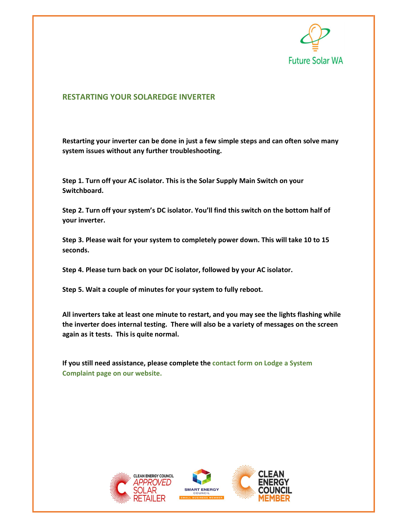

## RESTARTING YOUR SOLAREDGE INVERTER

Restarting your inverter can be done in just a few simple steps and can often solve many system issues without any further troubleshooting.

Step 1. Turn off your AC isolator. This is the Solar Supply Main Switch on your Switchboard.

Step 2. Turn off your system's DC isolator. You'll find this switch on the bottom half of your inverter.

Step 3. Please wait for your system to completely power down. This will take 10 to 15 seconds.

Step 4. Please turn back on your DC isolator, followed by your AC isolator.

Step 5. Wait a couple of minutes for your system to fully reboot.

All inverters take at least one minute to restart, and you may see the lights flashing while the inverter does internal testing. There will also be a variety of messages on the screen again as it tests. This is quite normal.

If you still need assistance, please complete the contact form on Lodge a System Complaint page on our website.